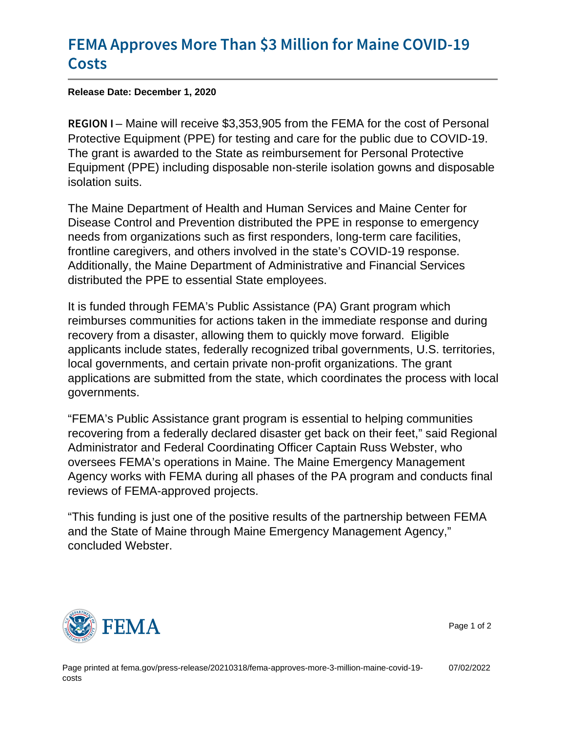## [FEMA Approves More Than \\$3 Mill](https://www.fema.gov/press-release/20210318/fema-approves-more-3-million-maine-covid-19-costs)ion for I [Cos](https://www.fema.gov/press-release/20210318/fema-approves-more-3-million-maine-covid-19-costs)ts

Release Date: December 1, 2020

REGION Maihe will receive \$3,353,905 from the FEMA for the cost of Personal Protective Equipment (PPE) for testing and care for the public due to COVID-19. The grant is awarded to the State as reimbursement for Personal Protective Equipment (PPE) including disposable non-sterile isolation gowns and disposable isolation suits.

The Maine Department of Health and Human Services and Maine Center for Disease Control and Prevention distributed the PPE in response to emergency needs from organizations such as first responders, long-term care facilities, frontline caregivers, and others involved in the state's COVID-19 response. Additionally, the Maine Department of Administrative and Financial Services distributed the PPE to essential State employees.

It is funded through FEMA's Public Assistance (PA) Grant program which reimburses communities for actions taken in the immediate response and during recovery from a disaster, allowing them to quickly move forward. Eligible applicants include states, federally recognized tribal governments, U.S. territories, local governments, and certain private non-profit organizations. The grant applications are submitted from the state, which coordinates the process with local governments.

"FEMA's Public Assistance grant program is essential to helping communities recovering from a federally declared disaster get back on their feet," said Regional Administrator and Federal Coordinating Officer Captain Russ Webster, who oversees FEMA's operations in Maine. The Maine Emergency Management Agency works with FEMA during all phases of the PA program and conducts final reviews of FEMA-approved projects.

"This funding is just one of the positive results of the partnership between FEMA and the State of Maine through Maine Emergency Management Agency," concluded Webster.



Page 1 of 2